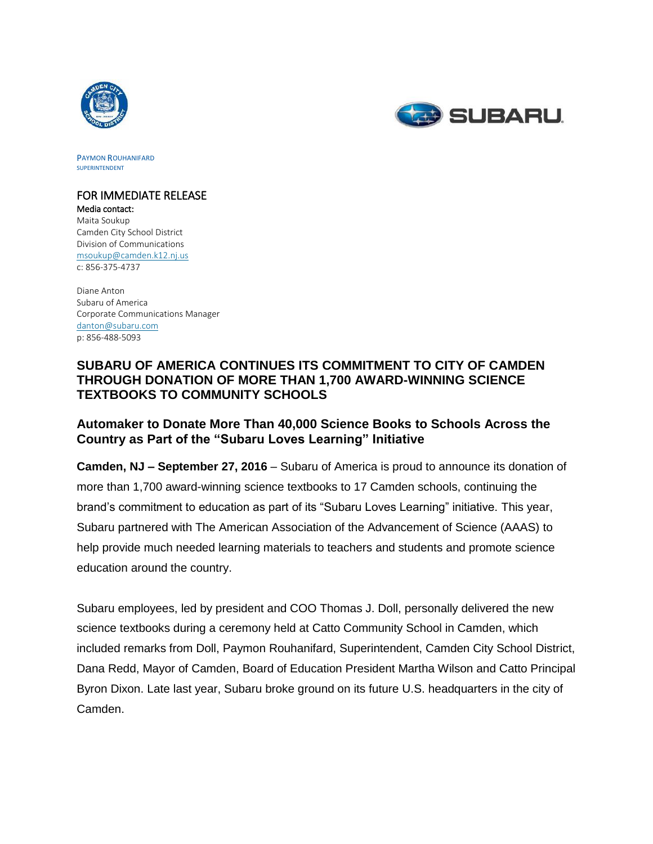



PAYMON ROUHANIFARD SUPERINTENDENT

# FOR IMMEDIATE RELEASE

Media contact: Maita Soukup Camden City School District Division of Communications [msoukup@camden.k12.nj.us](mailto:msoukup@camden.k12.nj.us) c: 856-375-4737

Diane Anton Subaru of America Corporate Communications Manager [danton@subaru.com](mailto:danton@subaru.com) p: 856-488-5093

### **SUBARU OF AMERICA CONTINUES ITS COMMITMENT TO CITY OF CAMDEN THROUGH DONATION OF MORE THAN 1,700 AWARD-WINNING SCIENCE TEXTBOOKS TO COMMUNITY SCHOOLS**

## **Automaker to Donate More Than 40,000 Science Books to Schools Across the Country as Part of the "Subaru Loves Learning" Initiative**

**Camden, NJ – September 27, 2016** – Subaru of America is proud to announce its donation of more than 1,700 award-winning science textbooks to 17 Camden schools, continuing the brand's commitment to education as part of its "Subaru Loves Learning" initiative. This year, Subaru partnered with The American Association of the Advancement of Science (AAAS) to help provide much needed learning materials to teachers and students and promote science education around the country.

Subaru employees, led by president and COO Thomas J. Doll, personally delivered the new science textbooks during a ceremony held at Catto Community School in Camden, which included remarks from Doll, Paymon Rouhanifard, Superintendent, Camden City School District, Dana Redd, Mayor of Camden, Board of Education President Martha Wilson and Catto Principal Byron Dixon. Late last year, Subaru broke ground on its future U.S. headquarters in the city of Camden.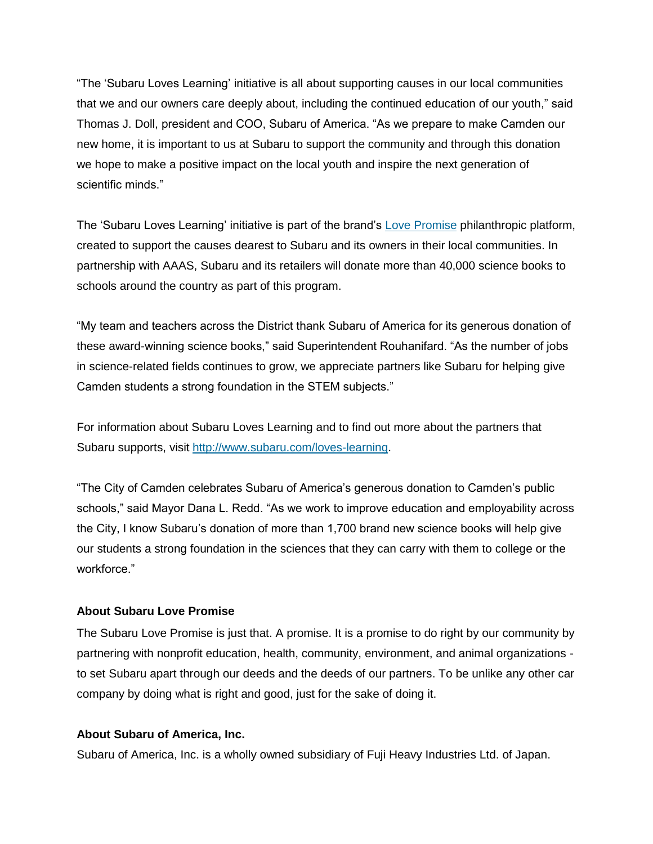"The 'Subaru Loves Learning' initiative is all about supporting causes in our local communities that we and our owners care deeply about, including the continued education of our youth," said Thomas J. Doll, president and COO, Subaru of America. "As we prepare to make Camden our new home, it is important to us at Subaru to support the community and through this donation we hope to make a positive impact on the local youth and inspire the next generation of scientific minds."

The 'Subaru Loves Learning' initiative is part of the brand's [Love Promise](file://///mww-nyc-fs1/clients/Subaru%20of%20America/2016/Events%20and%20Activations/Camden%20Book%20Donation/Paymon%20Rouhanifard,%20Superintendent,%20Camden%20City%20School%20District) philanthropic platform, created to support the causes dearest to Subaru and its owners in their local communities. In partnership with AAAS, Subaru and its retailers will donate more than 40,000 science books to schools around the country as part of this program.

"My team and teachers across the District thank Subaru of America for its generous donation of these award-winning science books," said Superintendent Rouhanifard. "As the number of jobs in science-related fields continues to grow, we appreciate partners like Subaru for helping give Camden students a strong foundation in the STEM subjects."

For information about Subaru Loves Learning and to find out more about the partners that Subaru supports, visit [http://www.subaru.com/loves-learning.](http://www.subaru.com/loves-learning)

"The City of Camden celebrates Subaru of America's generous donation to Camden's public schools," said Mayor Dana L. Redd. "As we work to improve education and employability across the City, I know Subaru's donation of more than 1,700 brand new science books will help give our students a strong foundation in the sciences that they can carry with them to college or the workforce."

### **About Subaru Love Promise**

The Subaru Love Promise is just that. A promise. It is a promise to do right by our community by partnering with nonprofit education, health, community, environment, and animal organizations to set Subaru apart through our deeds and the deeds of our partners. To be unlike any other car company by doing what is right and good, just for the sake of doing it.

### **About Subaru of America, Inc.**

Subaru of America, Inc. is a wholly owned subsidiary of Fuji Heavy Industries Ltd. of Japan.